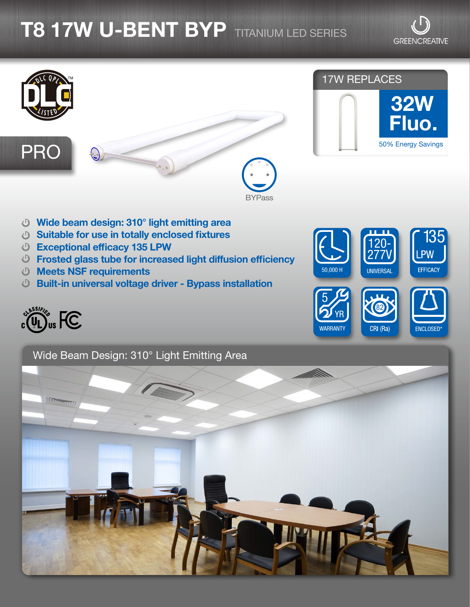## **T8 17W U-BENT BYP** TITANIUM LED SERIES

**GREENCREATIVE** 



- Wide beam design: 310° light emitting area
- Suitable for use in totally enclosed fixtures
- Exceptional efficacy 135 LPW
- Frosted glass tube for increased light diffusion efficiency
- Meets NSF requirements
- Built-in universal voltage driver Bypass installation



135 120- 277V **PW UNIVERSAL** EFFICACY 50,000 H 5 82 YR **WARRANTY** CRI (Ra) ENCLOSED\*

Wide Beam Design: 310° Light Emitting Area